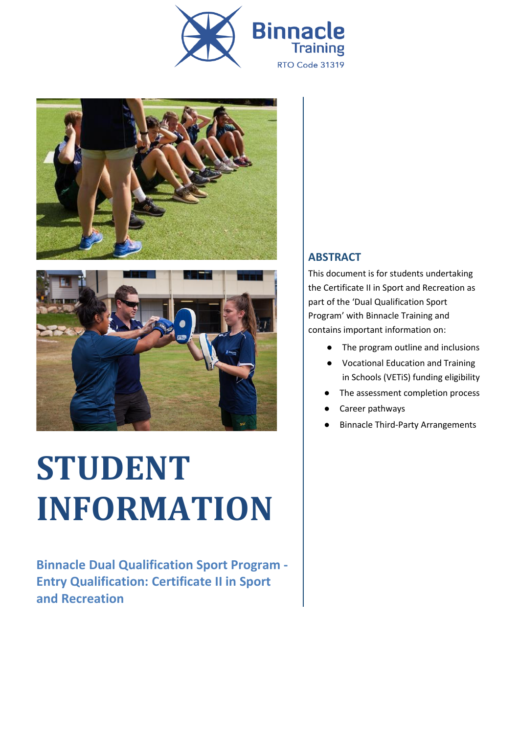





# **STUDENT INFORMATION**

**Binnacle Dual Qualification Sport Program - Entry Qualification: Certificate II in Sport and Recreation**

### **ABSTRACT**

This document is for students undertaking the Certificate II in Sport and Recreation as part of the 'Dual Qualification Sport Program' with Binnacle Training and contains important information on:

- The program outline and inclusions
- **Vocational Education and Training** in Schools (VETiS) funding eligibility
- The assessment completion process
- Career pathways
- **Binnacle Third-Party Arrangements**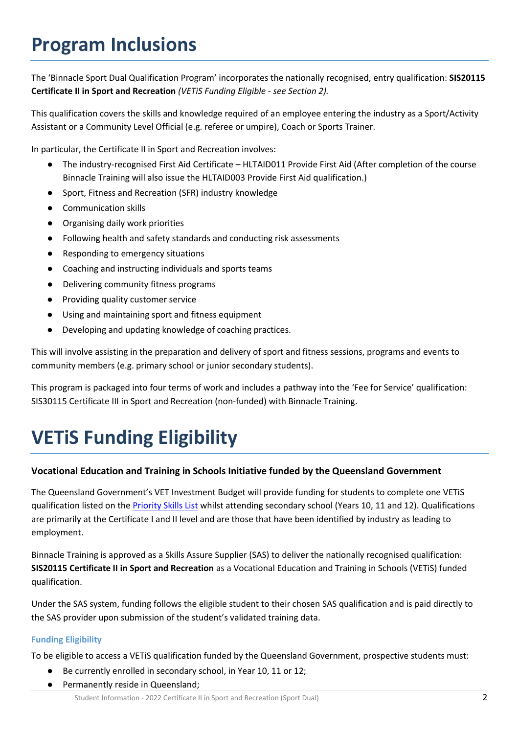## **Program Inclusions**

The 'Binnacle Sport Dual Qualification Program' incorporates the nationally recognised, entry qualification: **SIS20115 Certificate II in Sport and Recreation** *(VETiS Funding Eligible - see Section 2).*

This qualification covers the skills and knowledge required of an employee entering the industry as a Sport/Activity Assistant or a Community Level Official (e.g. referee or umpire), Coach or Sports Trainer.

In particular, the Certificate II in Sport and Recreation involves:

- The industry-recognised First Aid Certificate HLTAID011 Provide First Aid (After completion of the course Binnacle Training will also issue the HLTAID003 Provide First Aid qualification.)
- Sport, Fitness and Recreation (SFR) industry knowledge
- Communication skills
- Organising daily work priorities
- Following health and safety standards and conducting risk assessments
- Responding to emergency situations
- Coaching and instructing individuals and sports teams
- Delivering community fitness programs
- Providing quality customer service
- Using and maintaining sport and fitness equipment
- Developing and updating knowledge of coaching practices.

This will involve assisting in the preparation and delivery of sport and fitness sessions, programs and events to community members (e.g. primary school or junior secondary students).

This program is packaged into four terms of work and includes a pathway into the 'Fee for Service' qualification: SIS30115 Certificate III in Sport and Recreation (non-funded) with Binnacle Training.

# **VETiS Funding Eligibility**

### **Vocational Education and Training in Schools Initiative funded by the Queensland Government**

The Queensland Government's VET Investment Budget will provide funding for students to complete one VETiS qualification listed on the [Priority Skills List](https://desbt.qld.gov.au/training/docs-data/strategies/vetinvest/subsidieslist) whilst attending secondary school (Years 10, 11 and 12). Qualifications are primarily at the Certificate I and II level and are those that have been identified by industry as leading to employment.

Binnacle Training is approved as a Skills Assure Supplier (SAS) to deliver the nationally recognised qualification: **SIS20115 Certificate II in Sport and Recreation** as a Vocational Education and Training in Schools (VETiS) funded qualification.

Under the SAS system, funding follows the eligible student to their chosen SAS qualification and is paid directly to the SAS provider upon submission of the student's validated training data.

### **Funding Eligibility**

To be eligible to access a VETiS qualification funded by the Queensland Government, prospective students must:

- Be currently enrolled in secondary school, in Year 10, 11 or 12;
- Permanently reside in Queensland;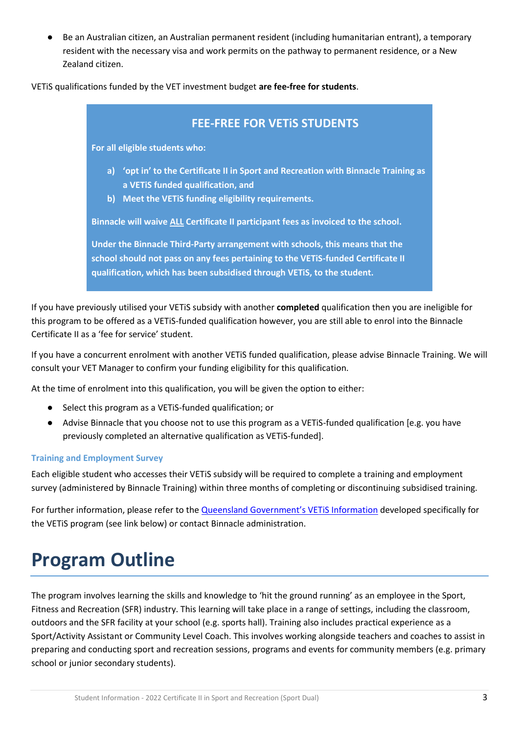Be an Australian citizen, an Australian permanent resident (including humanitarian entrant), a temporary resident with the necessary visa and work permits on the pathway to permanent residence, or a New Zealand citizen.

### VETiS qualifications funded by the VET investment budget **are fee-free for students**.

### **FEE-FREE FOR VETiS STUDENTS**

**For all eligible students who:**

- **a) 'opt in' to the Certificate II in Sport and Recreation with Binnacle Training as a VETiS funded qualification, and**
- **b) Meet the VETiS funding eligibility requirements.**

**Binnacle will waive ALL Certificate II participant fees as invoiced to the school.** 

**Under the Binnacle Third-Party arrangement with schools, this means that the school should not pass on any fees pertaining to the VETiS-funded Certificate II qualification, which has been subsidised through VETiS, to the student.**

If you have previously utilised your VETiS subsidy with another **completed** qualification then you are ineligible for this program to be offered as a VETiS-funded qualification however, you are still able to enrol into the Binnacle Certificate II as a 'fee for service' student.

If you have a concurrent enrolment with another VETiS funded qualification, please advise Binnacle Training. We will consult your VET Manager to confirm your funding eligibility for this qualification.

At the time of enrolment into this qualification, you will be given the option to either:

- Select this program as a VETiS-funded qualification; or
- Advise Binnacle that you choose not to use this program as a VETiS-funded qualification [e.g. you have previously completed an alternative qualification as VETiS-funded].

#### **Training and Employment Survey**

Each eligible student who accesses their VETiS subsidy will be required to complete a training and employment survey (administered by Binnacle Training) within three months of completing or discontinuing subsidised training.

For further information, please refer to the Queensland Government's VETIS Information developed specifically for the VETiS program (see link below) or contact Binnacle administration.

### **Program Outline**

The program involves learning the skills and knowledge to 'hit the ground running' as an employee in the Sport, Fitness and Recreation (SFR) industry. This learning will take place in a range of settings, including the classroom, outdoors and the SFR facility at your school (e.g. sports hall). Training also includes practical experience as a Sport/Activity Assistant or Community Level Coach. This involves working alongside teachers and coaches to assist in preparing and conducting sport and recreation sessions, programs and events for community members (e.g. primary school or junior secondary students).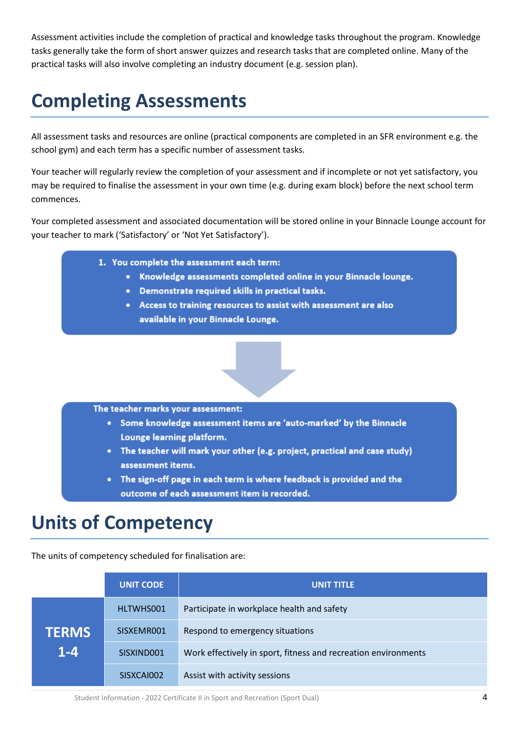Assessment activities include the completion of practical and knowledge tasks throughout the program. Knowledge tasks generally take the form of short answer quizzes and research tasks that are completed online. Many of the practical tasks will also involve completing an industry document (e.g. session plan).

# **Completing Assessments**

All assessment tasks and resources are online (practical components are completed in an SFR environment e.g. the school gym) and each term has a specific number of assessment tasks.

Your teacher will regularly review the completion of your assessment and if incomplete or not yet satisfactory, you may be required to finalise the assessment in your own time (e.g. during exam block) before the next school term commences.

Your completed assessment and associated documentation will be stored online in your Binnacle Lounge account for your teacher to mark ('Satisfactory' or 'Not Yet Satisfactory').

- 1. You complete the assessment each term:
	- Knowledge assessments completed online in your Binnacle lounge.
	- · Demonstrate required skills in practical tasks.
	- Access to training resources to assist with assessment are also available in your Binnacle Lounge.

- The teacher marks your assessment:
	- Some knowledge assessment items are 'auto-marked' by the Binnacle Lounge learning platform.
	- The teacher will mark your other (e.g. project, practical and case study) assessment items.
	- The sign-off page in each term is where feedback is provided and the outcome of each assessment item is recorded.

### **Units of Competency**

The units of competency scheduled for finalisation are:

|              | <b>UNIT CODE</b> | <b>UNIT TITLE</b>                                              |
|--------------|------------------|----------------------------------------------------------------|
|              | HLTWHS001        | Participate in workplace health and safety                     |
| <b>TERMS</b> | SISXEMR001       | Respond to emergency situations                                |
| $1 - 4$      | SISXIND001       | Work effectively in sport, fitness and recreation environments |
|              | SISXCAI002       | Assist with activity sessions                                  |

Student Information - 2022 Certificate II in Sport and Recreation (Sport Dual) 4 (Sport Dual)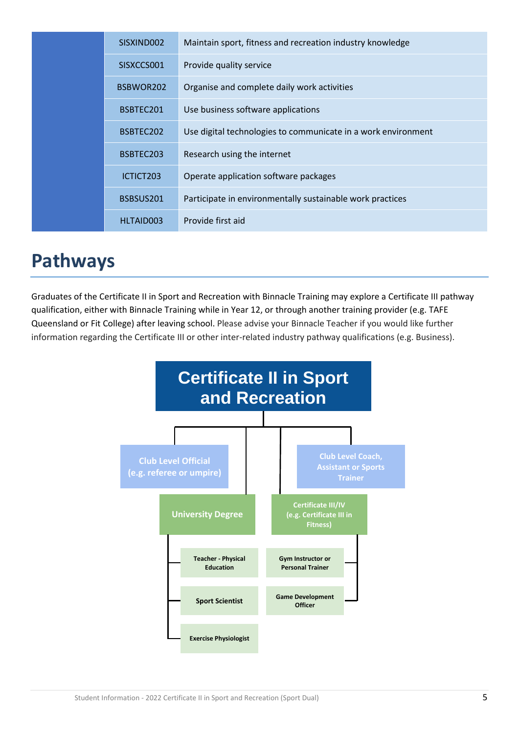| SISXIND002 | Maintain sport, fitness and recreation industry knowledge     |
|------------|---------------------------------------------------------------|
| SISXCCS001 | Provide quality service                                       |
| BSBWOR202  | Organise and complete daily work activities                   |
| BSBTEC201  | Use business software applications                            |
| BSBTEC202  | Use digital technologies to communicate in a work environment |
| BSBTEC203  | Research using the internet                                   |
| ICTICT203  | Operate application software packages                         |
| BSBSUS201  | Participate in environmentally sustainable work practices     |
| HLTAID003  | Provide first aid                                             |

### **Pathways**

Graduates of the Certificate II in Sport and Recreation with Binnacle Training may explore a Certificate III pathway qualification, either with Binnacle Training while in Year 12, or through another training provider (e.g. TAFE Queensland or Fit College) after leaving school. Please advise your Binnacle Teacher if you would like further information regarding the Certificate III or other inter-related industry pathway qualifications (e.g. Business).